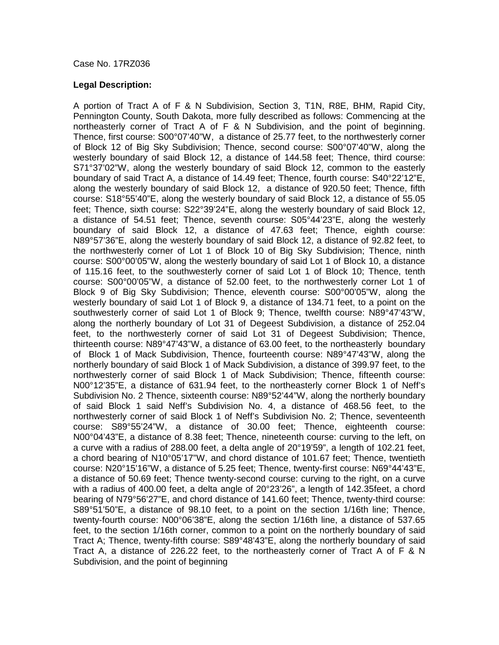## Case No. 17RZ036

## **Legal Description:**

A portion of Tract A of F & N Subdivision, Section 3, T1N, R8E, BHM, Rapid City, Pennington County, South Dakota, more fully described as follows: Commencing at the northeasterly corner of Tract A of F & N Subdivision, and the point of beginning. Thence, first course: S00°07'40"W, a distance of 25.77 feet, to the northwesterly corner of Block 12 of Big Sky Subdivision; Thence, second course: S00°07'40"W, along the westerly boundary of said Block 12, a distance of 144.58 feet; Thence, third course: S71°37'02"W, along the westerly boundary of said Block 12, common to the easterly boundary of said Tract A, a distance of 14.49 feet; Thence, fourth course: S40°22'12"E, along the westerly boundary of said Block 12, a distance of 920.50 feet; Thence, fifth course: S18°55'40"E, along the westerly boundary of said Block 12, a distance of 55.05 feet; Thence, sixth course: S22°39'24"E, along the westerly boundary of said Block 12, a distance of 54.51 feet; Thence, seventh course: S05°44'23"E, along the westerly boundary of said Block 12, a distance of 47.63 feet; Thence, eighth course: N89°57'36"E, along the westerly boundary of said Block 12, a distance of 92.82 feet, to the northwesterly corner of Lot 1 of Block 10 of Big Sky Subdivision; Thence, ninth course: S00°00'05"W, along the westerly boundary of said Lot 1 of Block 10, a distance of 115.16 feet, to the southwesterly corner of said Lot 1 of Block 10; Thence, tenth course: S00°00'05"W, a distance of 52.00 feet, to the northwesterly corner Lot 1 of Block 9 of Big Sky Subdivision; Thence, eleventh course: S00°00'05"W, along the westerly boundary of said Lot 1 of Block 9, a distance of 134.71 feet, to a point on the southwesterly corner of said Lot 1 of Block 9; Thence, twelfth course: N89°47'43"W, along the northerly boundary of Lot 31 of Degeest Subdivision, a distance of 252.04 feet, to the northwesterly corner of said Lot 31 of Degeest Subdivision; Thence, thirteenth course: N89°47'43"W, a distance of 63.00 feet, to the northeasterly boundary of Block 1 of Mack Subdivision, Thence, fourteenth course: N89°47'43"W, along the northerly boundary of said Block 1 of Mack Subdivision, a distance of 399.97 feet, to the northwesterly corner of said Block 1 of Mack Subdivision; Thence, fifteenth course: N00°12'35"E, a distance of 631.94 feet, to the northeasterly corner Block 1 of Neff's Subdivision No. 2 Thence, sixteenth course: N89°52'44"W, along the northerly boundary of said Block 1 said Neff's Subdivision No. 4, a distance of 468.56 feet, to the northwesterly corner of said Block 1 of Neff's Subdivision No. 2; Thence, seventeenth course: S89°55'24"W, a distance of 30.00 feet; Thence, eighteenth course: N00°04'43"E, a distance of 8.38 feet; Thence, nineteenth course: curving to the left, on a curve with a radius of 288.00 feet, a delta angle of 20°19'59", a length of 102.21 feet, a chord bearing of N10°05'17"W, and chord distance of 101.67 feet; Thence, twentieth course: N20°15'16"W, a distance of 5.25 feet; Thence, twenty-first course: N69°44'43"E, a distance of 50.69 feet; Thence twenty-second course: curving to the right, on a curve with a radius of 400.00 feet, a delta angle of 20°23'26", a length of 142.35feet, a chord bearing of N79°56'27"E, and chord distance of 141.60 feet; Thence, twenty-third course: S89°51'50"E, a distance of 98.10 feet, to a point on the section 1/16th line; Thence, twenty-fourth course: N00°06'38"E, along the section 1/16th line, a distance of 537.65 feet, to the section 1/16th corner, common to a point on the northerly boundary of said Tract A; Thence, twenty-fifth course: S89°48'43"E, along the northerly boundary of said Tract A, a distance of 226.22 feet, to the northeasterly corner of Tract A of F & N Subdivision, and the point of beginning